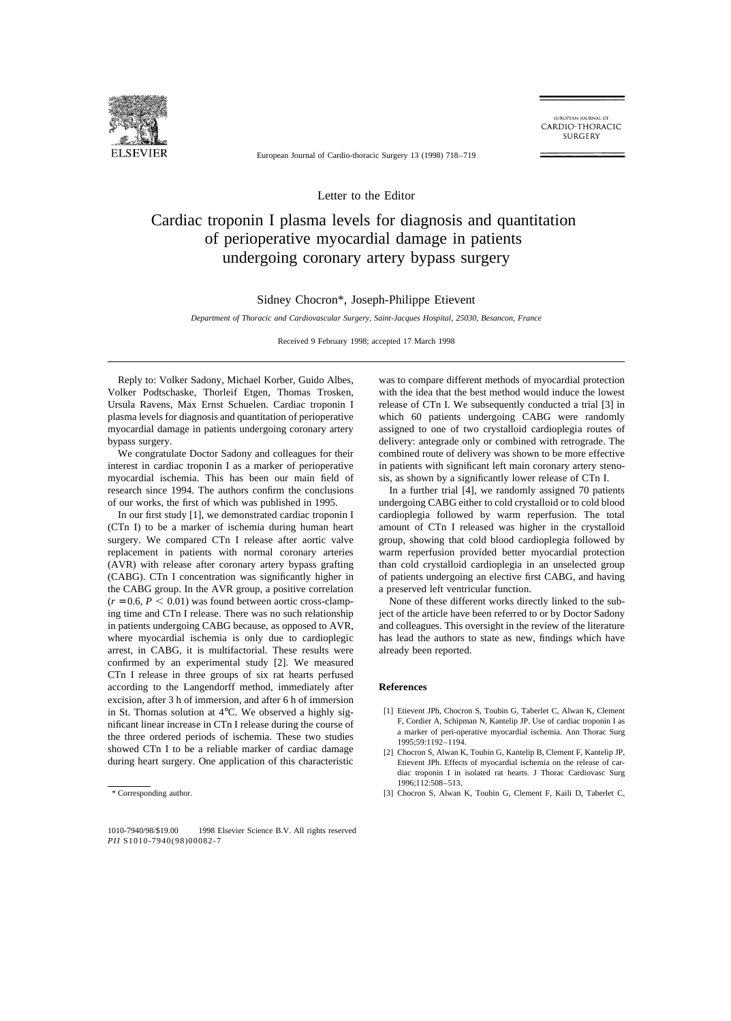

EUROPEAN JOURNAL OF CARDIO-THORACIC **SURGERY** 

European Journal of Cardio-thoracic Surgery 13 (1998) 718–719

Letter to the Editor

## Cardiac troponin I plasma levels for diagnosis and quantitation of perioperative myocardial damage in patients undergoing coronary artery bypass surgery

## Sidney Chocron\*, Joseph-Philippe Etievent

*Department of Thoracic and Cardiovascular Surgery, Saint-Jacques Hospital, 25030, Besancon, France*

Received 9 February 1998; accepted 17 March 1998

Reply to: Volker Sadony, Michael Korber, Guido Albes, Volker Podtschaske, Thorleif Etgen, Thomas Trosken, Ursula Ravens, Max Ernst Schuelen. Cardiac troponin I plasma levels for diagnosis and quantitation of perioperative myocardial damage in patients undergoing coronary artery bypass surgery.

We congratulate Doctor Sadony and colleagues for their interest in cardiac troponin I as a marker of perioperative myocardial ischemia. This has been our main field of research since 1994. The authors confirm the conclusions of our works, the first of which was published in 1995.

In our first study [1], we demonstrated cardiac troponin I (CTn I) to be a marker of ischemia during human heart surgery. We compared CTn I release after aortic valve replacement in patients with normal coronary arteries (AVR) with release after coronary artery bypass grafting (CABG). CTn I concentration was significantly higher in the CABG group. In the AVR group, a positive correlation  $(r = 0.6, P < 0.01)$  was found between aortic cross-clamping time and CTn I release. There was no such relationship in patients undergoing CABG because, as opposed to AVR, where myocardial ischemia is only due to cardioplegic arrest, in CABG, it is multifactorial. These results were confirmed by an experimental study [2]. We measured CTn I release in three groups of six rat hearts perfused according to the Langendorff method, immediately after excision, after 3 h of immersion, and after 6 h of immersion in St. Thomas solution at 4°C. We observed a highly significant linear increase in CTn I release during the course of the three ordered periods of ischemia. These two studies showed CTn I to be a reliable marker of cardiac damage during heart surgery. One application of this characteristic was to compare different methods of myocardial protection with the idea that the best method would induce the lowest release of CTn I. We subsequently conducted a trial [3] in which 60 patients undergoing CABG were randomly assigned to one of two crystalloid cardioplegia routes of delivery: antegrade only or combined with retrograde. The combined route of delivery was shown to be more effective in patients with significant left main coronary artery stenosis, as shown by a significantly lower release of CTn I.

In a further trial [4], we randomly assigned 70 patients undergoing CABG either to cold crystalloid or to cold blood cardioplegia followed by warm reperfusion. The total amount of CTn I released was higher in the crystalloid group, showing that cold blood cardioplegia followed by warm reperfusion provided better myocardial protection than cold crystalloid cardioplegia in an unselected group of patients undergoing an elective first CABG, and having a preserved left ventricular function.

None of these different works directly linked to the subject of the article have been referred to or by Doctor Sadony and colleagues. This oversight in the review of the literature has lead the authors to state as new, findings which have already been reported.

## **References**

- [1] Etievent JPh, Chocron S, Toubin G, Taberlet C, Alwan K, Clement F, Cordier A, Schipman N, Kantelip JP. Use of cardiac troponin I as a marker of peri-operative myocardial ischemia. Ann Thorac Surg 1995;59:1192–1194.
- [2] Chocron S, Alwan K, Toubin G, Kantelip B, Clement F, Kantelip JP, Etievent JPh. Effects of myocardial ischemia on the release of cardiac troponin I in isolated rat hearts. J Thorac Cardiovasc Surg 1996;112:508–513.
- [3] Chocron S, Alwan K, Toubin G, Clement F, Kaili D, Taberlet C,

<sup>\*</sup> Corresponding author.